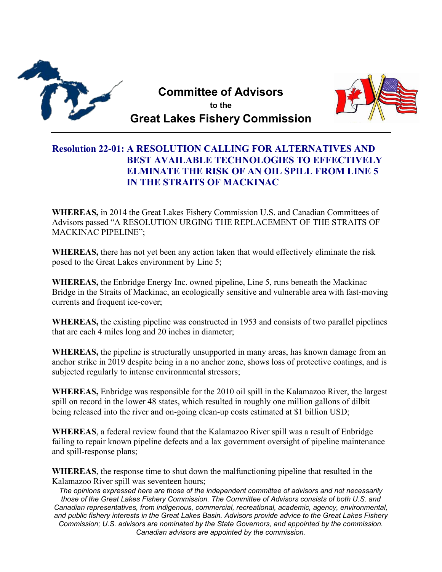

**Committee of Advisors to the Great Lakes Fishery Commission**



## **Resolution 22-01: A RESOLUTION CALLING FOR ALTERNATIVES AND BEST AVAILABLE TECHNOLOGIES TO EFFECTIVELY ELMINATE THE RISK OF AN OIL SPILL FROM LINE 5 IN THE STRAITS OF MACKINAC**

**WHEREAS,** in 2014 the Great Lakes Fishery Commission U.S. and Canadian Committees of Advisors passed "A RESOLUTION URGING THE REPLACEMENT OF THE STRAITS OF MACKINAC PIPELINE";

**WHEREAS,** there has not yet been any action taken that would effectively eliminate the risk posed to the Great Lakes environment by Line 5;

**WHEREAS,** the Enbridge Energy Inc. owned pipeline, Line 5, runs beneath the Mackinac Bridge in the Straits of Mackinac, an ecologically sensitive and vulnerable area with fast-moving currents and frequent ice-cover;

**WHEREAS,** the existing pipeline was constructed in 1953 and consists of two parallel pipelines that are each 4 miles long and 20 inches in diameter;

**WHEREAS,** the pipeline is structurally unsupported in many areas, has known damage from an anchor strike in 2019 despite being in a no anchor zone, shows loss of protective coatings, and is subjected regularly to intense environmental stressors;

**WHEREAS,** Enbridge was responsible for the 2010 oil spill in the Kalamazoo River, the largest spill on record in the lower 48 states, which resulted in roughly one million gallons of dilbit being released into the river and on-going clean-up costs estimated at \$1 billion USD;

**WHEREAS**, a federal review found that the Kalamazoo River spill was a result of Enbridge failing to repair known pipeline defects and a lax government oversight of pipeline maintenance and spill-response plans;

**WHEREAS**, the response time to shut down the malfunctioning pipeline that resulted in the Kalamazoo River spill was seventeen hours;

*The opinions expressed here are those of the independent committee of advisors and not necessarily those of the Great Lakes Fishery Commission. The Committee of Advisors consists of both U.S. and Canadian representatives, from indigenous, commercial, recreational, academic, agency, environmental, and public fishery interests in the Great Lakes Basin. Advisors provide advice to the Great Lakes Fishery Commission; U.S. advisors are nominated by the State Governors, and appointed by the commission. Canadian advisors are appointed by the commission.*